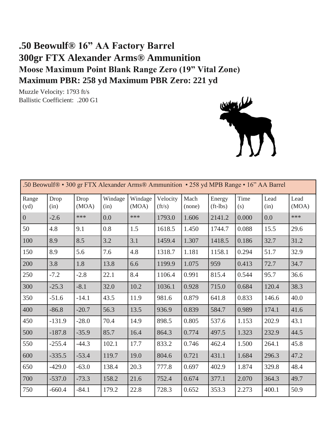## **.50 Beowulf® 16" AA Factory Barrel 300gr FTX Alexander Arms® Ammunition Moose Maximum Point Blank Range Zero (19" Vital Zone) Maximum PBR: 258 yd Maximum PBR Zero: 221 yd**

Muzzle Velocity: 1793 ft/s Ballistic Coefficient: .200 G1



| .50 Beowulf® • 300 gr FTX Alexander Arms® Ammunition • 258 yd MPB Range • 16" AA Barrel |              |               |                 |                  |                            |                |                        |             |              |               |
|-----------------------------------------------------------------------------------------|--------------|---------------|-----------------|------------------|----------------------------|----------------|------------------------|-------------|--------------|---------------|
| Range<br>(yd)                                                                           | Drop<br>(in) | Drop<br>(MOA) | Windage<br>(in) | Windage<br>(MOA) | Velocity<br>$({\rm ft/s})$ | Mach<br>(none) | Energy<br>$(ft - lbs)$ | Time<br>(s) | Lead<br>(in) | Lead<br>(MOA) |
| $\vert 0 \vert$                                                                         | $-2.6$       | ***           | 0.0             | ***              | 1793.0                     | 1.606          | 2141.2                 | 0.000       | 0.0          | ***           |
| 50                                                                                      | 4.8          | 9.1           | 0.8             | 1.5              | 1618.5                     | 1.450          | 1744.7                 | 0.088       | 15.5         | 29.6          |
| 100                                                                                     | 8.9          | 8.5           | 3.2             | 3.1              | 1459.4                     | 1.307          | 1418.5                 | 0.186       | 32.7         | 31.2          |
| 150                                                                                     | 8.9          | 5.6           | 7.6             | 4.8              | 1318.7                     | 1.181          | 1158.1                 | 0.294       | 51.7         | 32.9          |
| 200                                                                                     | 3.8          | 1.8           | 13.8            | 6.6              | 1199.9                     | 1.075          | 959                    | 0.413       | 72.7         | 34.7          |
| 250                                                                                     | $-7.2$       | $-2.8$        | 22.1            | 8.4              | 1106.4                     | 0.991          | 815.4                  | 0.544       | 95.7         | 36.6          |
| 300                                                                                     | $-25.3$      | $-8.1$        | 32.0            | 10.2             | 1036.1                     | 0.928          | 715.0                  | 0.684       | 120.4        | 38.3          |
| 350                                                                                     | $-51.6$      | $-14.1$       | 43.5            | 11.9             | 981.6                      | 0.879          | 641.8                  | 0.833       | 146.6        | 40.0          |
| 400                                                                                     | $-86.8$      | $-20.7$       | 56.3            | 13.5             | 936.9                      | 0.839          | 584.7                  | 0.989       | 174.1        | 41.6          |
| 450                                                                                     | $-131.9$     | $-28.0$       | 70.4            | 14.9             | 898.5                      | 0.805          | 537.6                  | 1.153       | 202.9        | 43.1          |
| 500                                                                                     | $-187.8$     | $-35.9$       | 85.7            | 16.4             | 864.3                      | 0.774          | 497.5                  | 1.323       | 232.9        | 44.5          |
| 550                                                                                     | $-255.4$     | $-44.3$       | 102.1           | 17.7             | 833.2                      | 0.746          | 462.4                  | 1.500       | 264.1        | 45.8          |
| 600                                                                                     | $-335.5$     | $-53.4$       | 119.7           | 19.0             | 804.6                      | 0.721          | 431.1                  | 1.684       | 296.3        | 47.2          |
| 650                                                                                     | $-429.0$     | $-63.0$       | 138.4           | 20.3             | 777.8                      | 0.697          | 402.9                  | 1.874       | 329.8        | 48.4          |
| 700                                                                                     | $-537.0$     | $-73.3$       | 158.2           | 21.6             | 752.4                      | 0.674          | 377.1                  | 2.070       | 364.3        | 49.7          |
| 750                                                                                     | $-660.4$     | $-84.1$       | 179.2           | 22.8             | 728.3                      | 0.652          | 353.3                  | 2.273       | 400.1        | 50.9          |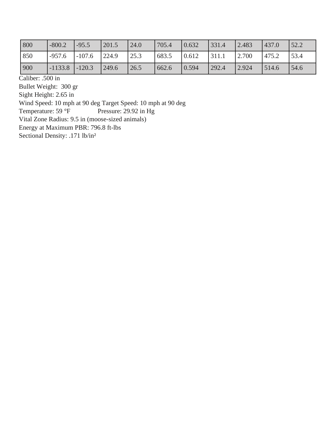| 800 | $-800.2$  | $-95.5$  | 201.5 | 24.0 | 705.4 | 0.632 | 331.4 | 2.483 | 437.0 | 52.2 |
|-----|-----------|----------|-------|------|-------|-------|-------|-------|-------|------|
| 850 | $-957.6$  | $-107.6$ | 224.9 | 25.3 | 683.5 | 0.612 | 311.1 | 2.700 | 475.2 | 53.4 |
| 900 | $-1133.8$ | $-120.3$ | 249.6 | 26.5 | 662.6 | 0.594 | 292.4 | 2.924 | 514.6 | 54.6 |

Caliber: .500 in

Bullet Weight: 300 gr

Sight Height: 2.65 in

Wind Speed: 10 mph at 90 deg Target Speed: 10 mph at 90 deg

Temperature: 59 °F Pressure: 29.92 in Hg

Vital Zone Radius: 9.5 in (moose-sized animals)

Energy at Maximum PBR: 796.8 ft-lbs

Sectional Density: .171 lb/in²